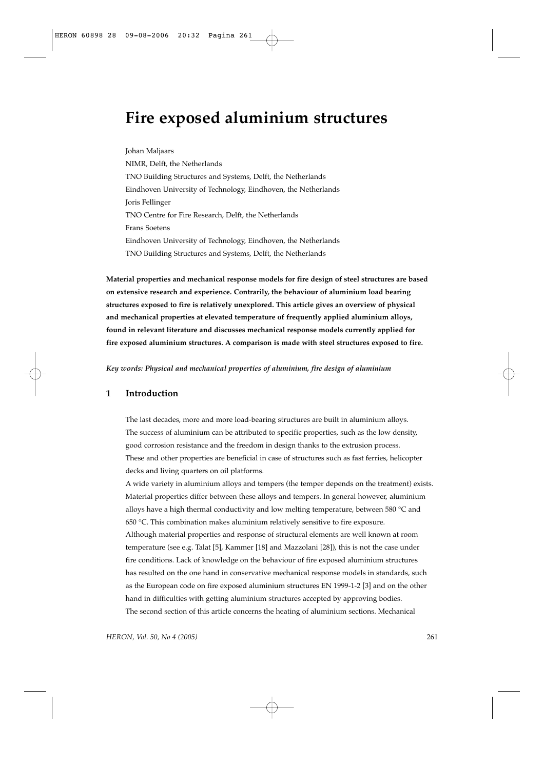# **Fire exposed aluminium structures**

Johan Maljaars NIMR, Delft, the Netherlands TNO Building Structures and Systems, Delft, the Netherlands Eindhoven University of Technology, Eindhoven, the Netherlands Joris Fellinger TNO Centre for Fire Research, Delft, the Netherlands Frans Soetens Eindhoven University of Technology, Eindhoven, the Netherlands TNO Building Structures and Systems, Delft, the Netherlands

**Material properties and mechanical response models for fire design of steel structures are based on extensive research and experience. Contrarily, the behaviour of aluminium load bearing structures exposed to fire is relatively unexplored. This article gives an overview of physical and mechanical properties at elevated temperature of frequently applied aluminium alloys, found in relevant literature and discusses mechanical response models currently applied for fire exposed aluminium structures. A comparison is made with steel structures exposed to fire.**

*Key words: Physical and mechanical properties of aluminium, fire design of aluminium*

# **1 Introduction**

The last decades, more and more load-bearing structures are built in aluminium alloys. The success of aluminium can be attributed to specific properties, such as the low density, good corrosion resistance and the freedom in design thanks to the extrusion process. These and other properties are beneficial in case of structures such as fast ferries, helicopter decks and living quarters on oil platforms.

A wide variety in aluminium alloys and tempers (the temper depends on the treatment) exists. Material properties differ between these alloys and tempers. In general however, aluminium alloys have a high thermal conductivity and low melting temperature, between 580 °C and 650 °C. This combination makes aluminium relatively sensitive to fire exposure. Although material properties and response of structural elements are well known at room temperature (see e.g. Talat [5], Kammer [18] and Mazzolani [28]), this is not the case under fire conditions. Lack of knowledge on the behaviour of fire exposed aluminium structures has resulted on the one hand in conservative mechanical response models in standards, such as the European code on fire exposed aluminium structures EN 1999-1-2 [3] and on the other hand in difficulties with getting aluminium structures accepted by approving bodies. The second section of this article concerns the heating of aluminium sections. Mechanical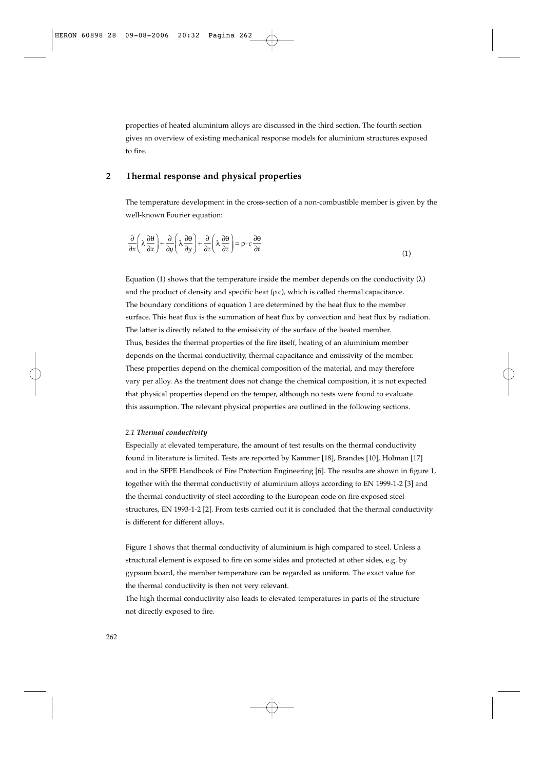properties of heated aluminium alloys are discussed in the third section. The fourth section gives an overview of existing mechanical response models for aluminium structures exposed to fire.

# **2 Thermal response and physical properties**

The temperature development in the cross-section of a non-combustible member is given by the well-known Fourier equation:

$$
\frac{\partial}{\partial x}\left(\lambda \frac{\partial \theta}{\partial x}\right) + \frac{\partial}{\partial y}\left(\lambda \frac{\partial \theta}{\partial y}\right) + \frac{\partial}{\partial z}\left(\lambda \frac{\partial \theta}{\partial z}\right) = \rho \cdot c \frac{\partial \theta}{\partial t}
$$
\n(1)

Equation (1) shows that the temperature inside the member depends on the conductivity (λ) and the product of density and specific heat ( $\rho$ c), which is called thermal capacitance. The boundary conditions of equation 1 are determined by the heat flux to the member surface. This heat flux is the summation of heat flux by convection and heat flux by radiation. The latter is directly related to the emissivity of the surface of the heated member. Thus, besides the thermal properties of the fire itself, heating of an aluminium member depends on the thermal conductivity, thermal capacitance and emissivity of the member. These properties depend on the chemical composition of the material, and may therefore vary per alloy. As the treatment does not change the chemical composition, it is not expected that physical properties depend on the temper, although no tests were found to evaluate this assumption. The relevant physical properties are outlined in the following sections.

## *2.1 Thermal conductivity*

Especially at elevated temperature, the amount of test results on the thermal conductivity found in literature is limited. Tests are reported by Kammer [18], Brandes [10], Holman [17] and in the SFPE Handbook of Fire Protection Engineering [6]. The results are shown in figure 1, together with the thermal conductivity of aluminium alloys according to EN 1999-1-2 [3] and the thermal conductivity of steel according to the European code on fire exposed steel structures, EN 1993-1-2 [2]. From tests carried out it is concluded that the thermal conductivity is different for different alloys.

Figure 1 shows that thermal conductivity of aluminium is high compared to steel. Unless a structural element is exposed to fire on some sides and protected at other sides, e.g. by gypsum board, the member temperature can be regarded as uniform. The exact value for the thermal conductivity is then not very relevant.

The high thermal conductivity also leads to elevated temperatures in parts of the structure not directly exposed to fire.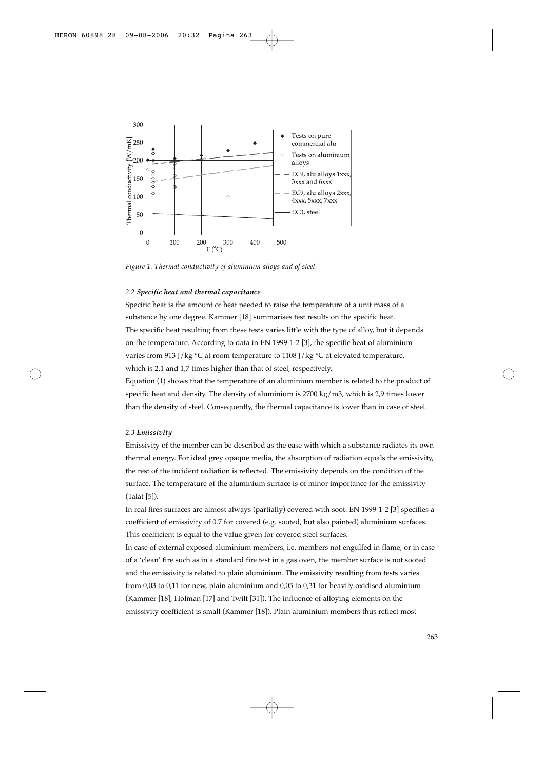

*Figure 1. Thermal conductivity of aluminium alloys and of steel*

## *2.2 Specific heat and thermal capacitance*

Specific heat is the amount of heat needed to raise the temperature of a unit mass of a substance by one degree. Kammer [18] summarises test results on the specific heat. The specific heat resulting from these tests varies little with the type of alloy, but it depends on the temperature. According to data in EN 1999-1-2 [3], the specific heat of aluminium varies from 913 J/kg  $\degree$ C at room temperature to 1108 J/kg  $\degree$ C at elevated temperature, which is 2,1 and 1,7 times higher than that of steel, respectively.

Equation (1) shows that the temperature of an aluminium member is related to the product of specific heat and density. The density of aluminium is  $2700 \text{ kg/m3}$ , which is  $2.9$  times lower than the density of steel. Consequently, the thermal capacitance is lower than in case of steel.

## *2.3 Emissivity*

Emissivity of the member can be described as the ease with which a substance radiates its own thermal energy. For ideal grey opaque media, the absorption of radiation equals the emissivity, the rest of the incident radiation is reflected. The emissivity depends on the condition of the surface. The temperature of the aluminium surface is of minor importance for the emissivity (Talat [5]).

In real fires surfaces are almost always (partially) covered with soot. EN 1999-1-2 [3] specifies a coefficient of emissivity of 0.7 for covered (e.g. sooted, but also painted) aluminium surfaces. This coefficient is equal to the value given for covered steel surfaces.

In case of external exposed aluminium members, i.e. members not engulfed in flame, or in case of a 'clean' fire such as in a standard fire test in a gas oven, the member surface is not sooted and the emissivity is related to plain aluminium. The emissivity resulting from tests varies from 0,03 to 0,11 for new, plain aluminium and 0,05 to 0,31 for heavily oxidised aluminium (Kammer [18], Holman [17] and Twilt [31]). The influence of alloying elements on the emissivity coefficient is small (Kammer [18]). Plain aluminium members thus reflect most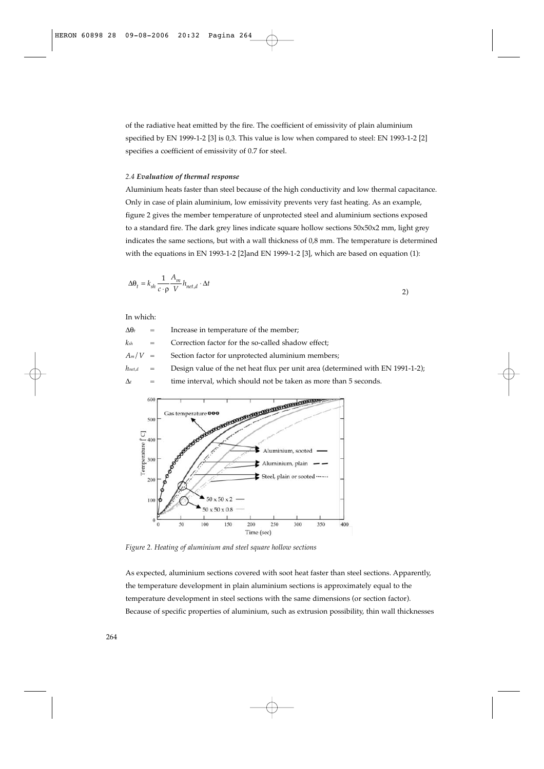of the radiative heat emitted by the fire. The coefficient of emissivity of plain aluminium specified by EN 1999-1-2 [3] is 0,3. This value is low when compared to steel: EN 1993-1-2 [2] specifies a coefficient of emissivity of 0.7 for steel.

#### *2.4 Evaluation of thermal response*

Aluminium heats faster than steel because of the high conductivity and low thermal capacitance. Only in case of plain aluminium, low emissivity prevents very fast heating. As an example, figure 2 gives the member temperature of unprotected steel and aluminium sections exposed to a standard fire. The dark grey lines indicate square hollow sections 50x50x2 mm, light grey indicates the same sections, but with a wall thickness of 0,8 mm. The temperature is determined with the equations in EN 1993-1-2 [2]and EN 1999-1-2 [3], which are based on equation (1):

$$
\Delta\theta_t = k_{sh} \frac{1}{c \cdot \rho} \frac{A_m}{V} h_{net,d} \cdot \Delta t
$$

In which:

 $\Delta\theta$ <sub>t</sub> = Increase in temperature of the member;  $k_{sh}$  = Correction factor for the so-called shadow effect:  $A_m/V =$  Section factor for unprotected aluminium members;  $h_{net,d}$  = Design value of the net heat flux per unit area (determined with EN 1991-1-2);  $\Delta t$  = time interval, which should not be taken as more than 5 seconds.



*Figure 2. Heating of aluminium and steel square hollow sections*

As expected, aluminium sections covered with soot heat faster than steel sections. Apparently, the temperature development in plain aluminium sections is approximately equal to the temperature development in steel sections with the same dimensions (or section factor). Because of specific properties of aluminium, such as extrusion possibility, thin wall thicknesses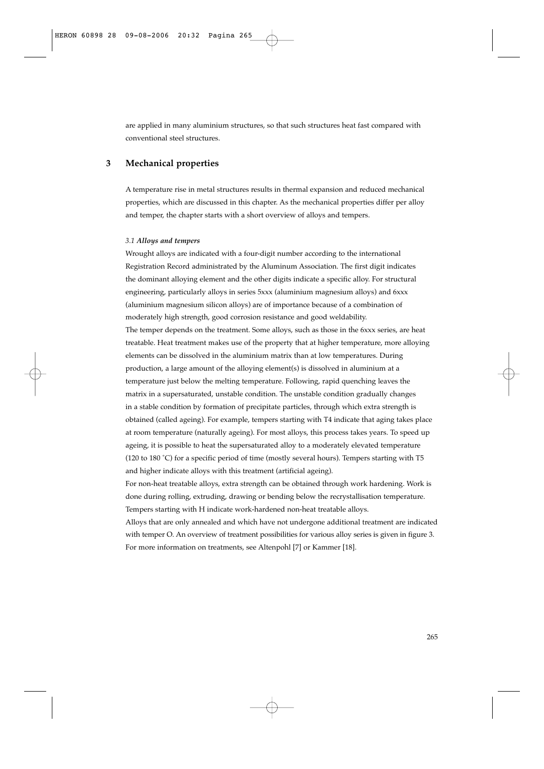are applied in many aluminium structures, so that such structures heat fast compared with conventional steel structures.

# **3 Mechanical properties**

A temperature rise in metal structures results in thermal expansion and reduced mechanical properties, which are discussed in this chapter. As the mechanical properties differ per alloy and temper, the chapter starts with a short overview of alloys and tempers.

## *3.1 Alloys and tempers*

Wrought alloys are indicated with a four-digit number according to the international Registration Record administrated by the Aluminum Association. The first digit indicates the dominant alloying element and the other digits indicate a specific alloy. For structural engineering, particularly alloys in series 5xxx (aluminium magnesium alloys) and 6xxx (aluminium magnesium silicon alloys) are of importance because of a combination of moderately high strength, good corrosion resistance and good weldability.

The temper depends on the treatment. Some alloys, such as those in the 6xxx series, are heat treatable. Heat treatment makes use of the property that at higher temperature, more alloying elements can be dissolved in the aluminium matrix than at low temperatures. During production, a large amount of the alloying element(s) is dissolved in aluminium at a temperature just below the melting temperature. Following, rapid quenching leaves the matrix in a supersaturated, unstable condition. The unstable condition gradually changes in a stable condition by formation of precipitate particles, through which extra strength is obtained (called ageing). For example, tempers starting with T4 indicate that aging takes place at room temperature (naturally ageing). For most alloys, this process takes years. To speed up ageing, it is possible to heat the supersaturated alloy to a moderately elevated temperature (120 to 180  $^{\circ}$ C) for a specific period of time (mostly several hours). Tempers starting with T5 and higher indicate alloys with this treatment (artificial ageing).

For non-heat treatable alloys, extra strength can be obtained through work hardening. Work is done during rolling, extruding, drawing or bending below the recrystallisation temperature. Tempers starting with H indicate work-hardened non-heat treatable alloys.

Alloys that are only annealed and which have not undergone additional treatment are indicated with temper O. An overview of treatment possibilities for various alloy series is given in figure 3. For more information on treatments, see Altenpohl [7] or Kammer [18].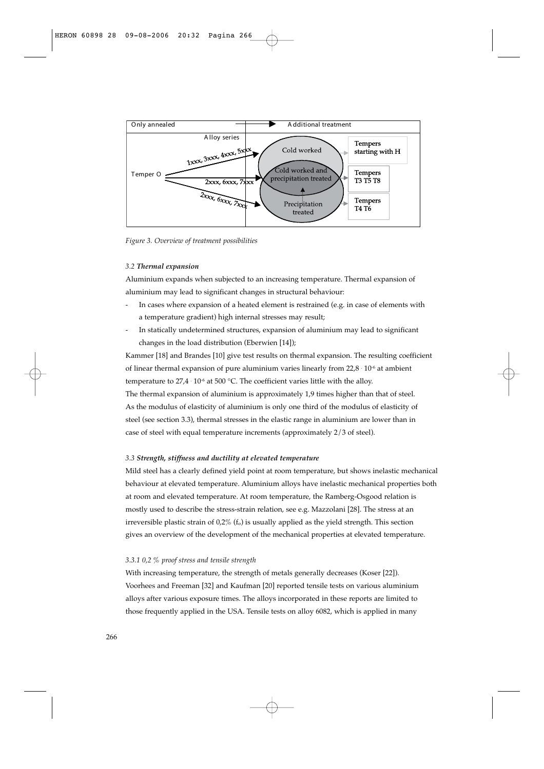

*Figure 3. Overview of treatment possibilities*

## *3.2 Thermal expansion*

Aluminium expands when subjected to an increasing temperature. Thermal expansion of aluminium may lead to significant changes in structural behaviour:

- In cases where expansion of a heated element is restrained (e.g. in case of elements with a temperature gradient) high internal stresses may result;
- In statically undetermined structures, expansion of aluminium may lead to significant changes in the load distribution (Eberwien [14]);

Kammer [18] and Brandes [10] give test results on thermal expansion. The resulting coefficient of linear thermal expansion of pure aluminium varies linearly from  $22.8 \cdot 10^{-6}$  at ambient temperature to  $27.4 \cdot 10^{-6}$  at 500 °C. The coefficient varies little with the alloy. The thermal expansion of aluminium is approximately 1,9 times higher than that of steel. As the modulus of elasticity of aluminium is only one third of the modulus of elasticity of

steel (see section 3.3), thermal stresses in the elastic range in aluminium are lower than in case of steel with equal temperature increments (approximately 2/3 of steel).

## *3.3 Strength, stiffness and ductility at elevated temperature*

Mild steel has a clearly defined yield point at room temperature, but shows inelastic mechanical behaviour at elevated temperature. Aluminium alloys have inelastic mechanical properties both at room and elevated temperature. At room temperature, the Ramberg-Osgood relation is mostly used to describe the stress-strain relation, see e.g. Mazzolani [28]. The stress at an irreversible plastic strain of  $0.2\%$  ( $f_o$ ) is usually applied as the yield strength. This section gives an overview of the development of the mechanical properties at elevated temperature.

## *3.3.1 0,2 % proof stress and tensile strength*

With increasing temperature, the strength of metals generally decreases (Koser [22]). Voorhees and Freeman [32] and Kaufman [20] reported tensile tests on various aluminium alloys after various exposure times. The alloys incorporated in these reports are limited to those frequently applied in the USA. Tensile tests on alloy 6082, which is applied in many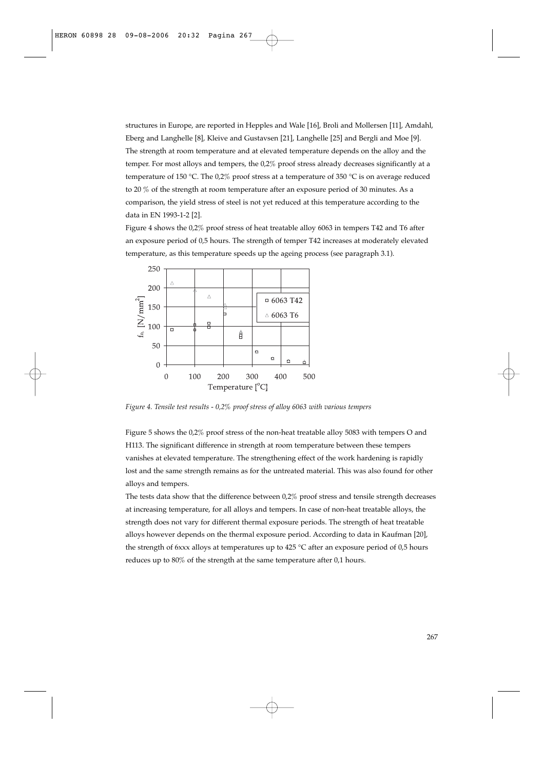structures in Europe, are reported in Hepples and Wale [16], Broli and Mollersen [11], Amdahl, Eberg and Langhelle [8], Kleive and Gustavsen [21], Langhelle [25] and Bergli and Moe [9]. The strength at room temperature and at elevated temperature depends on the alloy and the temper. For most alloys and tempers, the 0,2% proof stress already decreases significantly at a temperature of 150 °C. The 0,2% proof stress at a temperature of 350 °C is on average reduced to 20 % of the strength at room temperature after an exposure period of 30 minutes. As a comparison, the yield stress of steel is not yet reduced at this temperature according to the data in EN 1993-1-2 [2].

Figure 4 shows the 0,2% proof stress of heat treatable alloy 6063 in tempers T42 and T6 after an exposure period of 0,5 hours. The strength of temper T42 increases at moderately elevated temperature, as this temperature speeds up the ageing process (see paragraph 3.1).



*Figure 4. Tensile test results - 0,2% proof stress of alloy 6063 with various tempers*

Figure 5 shows the 0,2% proof stress of the non-heat treatable alloy 5083 with tempers O and H113. The significant difference in strength at room temperature between these tempers vanishes at elevated temperature. The strengthening effect of the work hardening is rapidly lost and the same strength remains as for the untreated material. This was also found for other alloys and tempers.

The tests data show that the difference between  $0.2\%$  proof stress and tensile strength decreases at increasing temperature, for all alloys and tempers. In case of non-heat treatable alloys, the strength does not vary for different thermal exposure periods. The strength of heat treatable alloys however depends on the thermal exposure period. According to data in Kaufman [20], the strength of 6xxx alloys at temperatures up to 425 °C after an exposure period of 0,5 hours reduces up to 80% of the strength at the same temperature after 0,1 hours.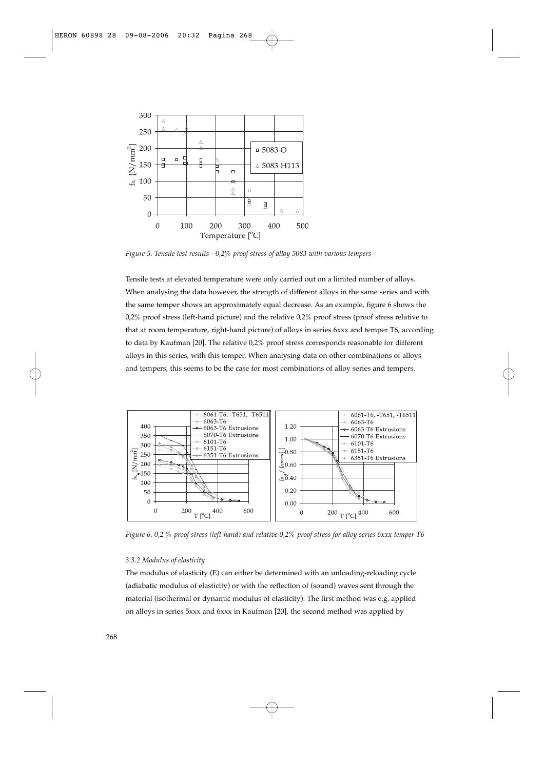

*Figure 5. Tensile test results - 0,2% proof stress of alloy 5083 with various tempers*

Tensile tests at elevated temperature were only carried out on a limited number of alloys. When analysing the data however, the strength of different alloys in the same series and with the same temper shows an approximately equal decrease. As an example, figure 6 shows the  $0.2\%$  proof stress (left-hand picture) and the relative  $0.2\%$  proof stress (proof stress relative to that at room temperature, right-hand picture) of alloys in series 6xxx and temper T6, according to data by Kaufman [20]. The relative 0,2% proof stress corresponds reasonable for different alloys in this series, with this temper. When analysing data on other combinations of alloys and tempers, this seems to be the case for most combinations of alloy series and tempers.



*Figure 6. 0,2 % proof stress (left-hand) and relative 0,2% proof stress for alloy series 6xxx temper T6*

## *3.3.2 Modulus of elasticity*

The modulus of elasticity (E) can either be determined with an unloading-reloading cycle (adiabatic modulus of elasticity) or with the reflection of (sound) waves sent through the material (isothermal or dynamic modulus of elasticity). The first method was e.g. applied on alloys in series 5xxx and 6xxx in Kaufman [20], the second method was applied by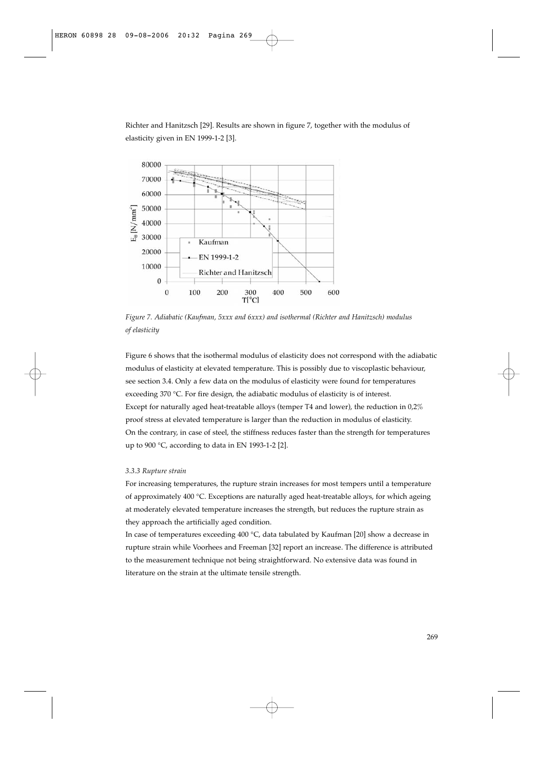Richter and Hanitzsch [29]. Results are shown in figure 7, together with the modulus of elasticity given in EN 1999-1-2 [3].



*Figure 7. Adiabatic (Kaufman, 5xxx and 6xxx) and isothermal (Richter and Hanitzsch) modulus of elasticity*

Figure 6 shows that the isothermal modulus of elasticity does not correspond with the adiabatic modulus of elasticity at elevated temperature. This is possibly due to viscoplastic behaviour, see section 3.4. Only a few data on the modulus of elasticity were found for temperatures exceeding 370 °C. For fire design, the adiabatic modulus of elasticity is of interest. Except for naturally aged heat-treatable alloys (temper T4 and lower), the reduction in 0,2% proof stress at elevated temperature is larger than the reduction in modulus of elasticity. On the contrary, in case of steel, the stiffness reduces faster than the strength for temperatures up to 900 °C, according to data in EN 1993-1-2 [2].

## *3.3.3 Rupture strain*

For increasing temperatures, the rupture strain increases for most tempers until a temperature of approximately 400 °C. Exceptions are naturally aged heat-treatable alloys, for which ageing at moderately elevated temperature increases the strength, but reduces the rupture strain as they approach the artificially aged condition.

In case of temperatures exceeding 400 °C, data tabulated by Kaufman [20] show a decrease in rupture strain while Voorhees and Freeman [32] report an increase. The difference is attributed to the measurement technique not being straightforward. No extensive data was found in literature on the strain at the ultimate tensile strength.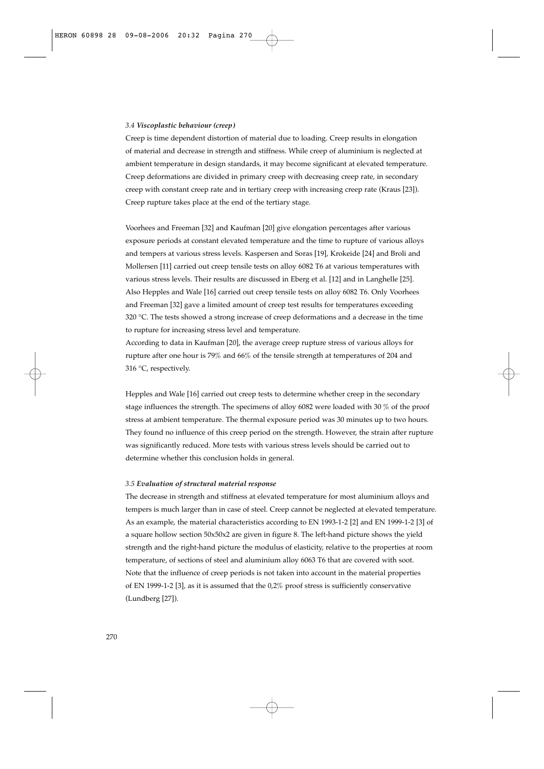#### *3.4 Viscoplastic behaviour (creep)*

Creep is time dependent distortion of material due to loading. Creep results in elongation of material and decrease in strength and stiffness. While creep of aluminium is neglected at ambient temperature in design standards, it may become significant at elevated temperature. Creep deformations are divided in primary creep with decreasing creep rate, in secondary creep with constant creep rate and in tertiary creep with increasing creep rate (Kraus [23]). Creep rupture takes place at the end of the tertiary stage.

Voorhees and Freeman [32] and Kaufman [20] give elongation percentages after various exposure periods at constant elevated temperature and the time to rupture of various alloys and tempers at various stress levels. Kaspersen and Soras [19], Krokeide [24] and Broli and Mollersen [11] carried out creep tensile tests on alloy 6082 T6 at various temperatures with various stress levels. Their results are discussed in Eberg et al. [12] and in Langhelle [25]. Also Hepples and Wale [16] carried out creep tensile tests on alloy 6082 T6. Only Voorhees and Freeman [32] gave a limited amount of creep test results for temperatures exceeding 320 °C. The tests showed a strong increase of creep deformations and a decrease in the time to rupture for increasing stress level and temperature.

According to data in Kaufman [20], the average creep rupture stress of various alloys for rupture after one hour is 79% and 66% of the tensile strength at temperatures of 204 and 316 °C, respectively.

Hepples and Wale [16] carried out creep tests to determine whether creep in the secondary stage influences the strength. The specimens of alloy 6082 were loaded with 30 % of the proof stress at ambient temperature. The thermal exposure period was 30 minutes up to two hours. They found no influence of this creep period on the strength. However, the strain after rupture was significantly reduced. More tests with various stress levels should be carried out to determine whether this conclusion holds in general.

## *3.5 Evaluation of structural material response*

The decrease in strength and stiffness at elevated temperature for most aluminium alloys and tempers is much larger than in case of steel. Creep cannot be neglected at elevated temperature. As an example, the material characteristics according to EN 1993-1-2 [2] and EN 1999-1-2 [3] of a square hollow section 50x50x2 are given in figure 8. The left-hand picture shows the yield strength and the right-hand picture the modulus of elasticity, relative to the properties at room temperature, of sections of steel and aluminium alloy 6063 T6 that are covered with soot. Note that the influence of creep periods is not taken into account in the material properties of EN 1999-1-2 [3], as it is assumed that the 0,2% proof stress is sufficiently conservative (Lundberg [27]).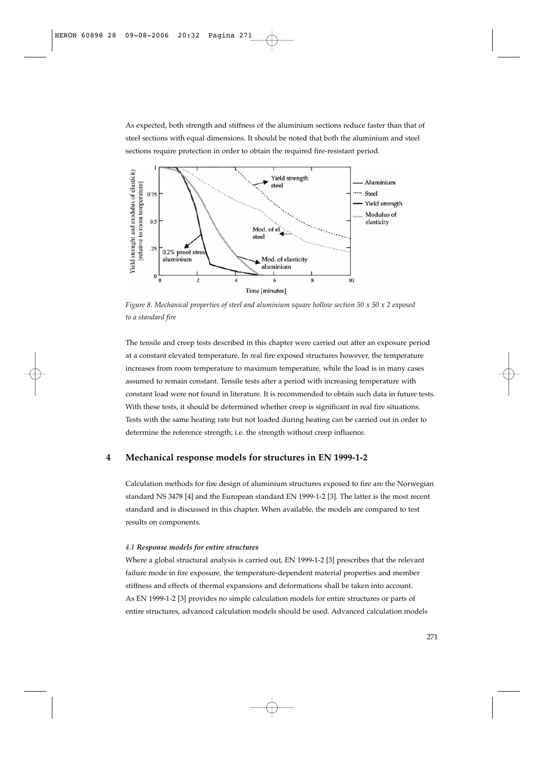As expected, both strength and stiffness of the aluminium sections reduce faster than that of steel sections with equal dimensions. It should be noted that both the aluminium and steel sections require protection in order to obtain the required fire-resistant period.



*Figure 8. Mechanical properties of steel and aluminium square hollow section 50 x 50 x 2 exposed to a standard fire*

The tensile and creep tests described in this chapter were carried out after an exposure period at a constant elevated temperature. In real fire exposed structures however, the temperature increases from room temperature to maximum temperature, while the load is in many cases assumed to remain constant. Tensile tests after a period with increasing temperature with constant load were not found in literature. It is recommended to obtain such data in future tests. With these tests, it should be determined whether creep is significant in real fire situations. Tests with the same heating rate but not loaded during heating can be carried out in order to determine the reference strength; i.e. the strength without creep influence.

## **4 Mechanical response models for structures in EN 1999-1-2**

Calculation methods for fire design of aluminium structures exposed to fire are the Norwegian standard NS 3478 [4] and the European standard EN 1999-1-2 [3]. The latter is the most recent standard and is discussed in this chapter. When available, the models are compared to test results on components.

#### *4.1 Response models for entire structures*

Where a global structural analysis is carried out, EN 1999-1-2 [3] prescribes that the relevant failure mode in fire exposure, the temperature-dependent material properties and member stiffness and effects of thermal expansions and deformations shall be taken into account. As EN 1999-1-2 [3] provides no simple calculation models for entire structures or parts of entire structures, advanced calculation models should be used. Advanced calculation models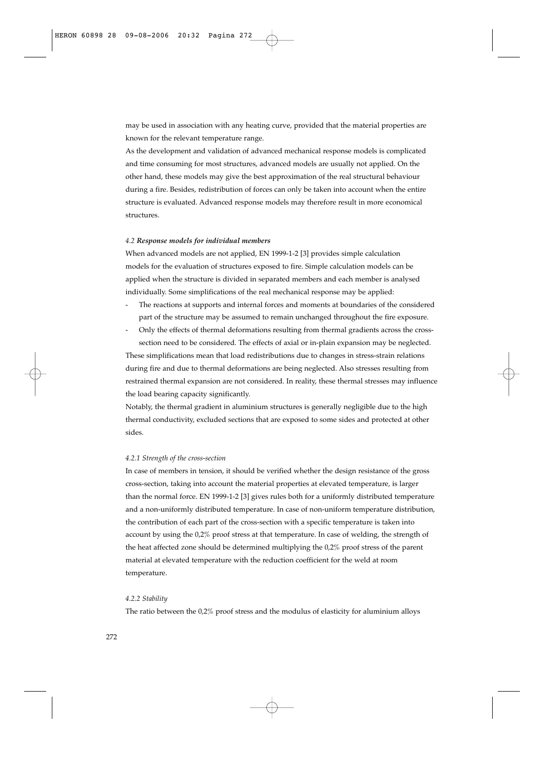may be used in association with any heating curve, provided that the material properties are known for the relevant temperature range.

As the development and validation of advanced mechanical response models is complicated and time consuming for most structures, advanced models are usually not applied. On the other hand, these models may give the best approximation of the real structural behaviour during a fire. Besides, redistribution of forces can only be taken into account when the entire structure is evaluated. Advanced response models may therefore result in more economical structures.

## *4.2 Response models for individual members*

When advanced models are not applied, EN 1999-1-2 [3] provides simple calculation models for the evaluation of structures exposed to fire. Simple calculation models can be applied when the structure is divided in separated members and each member is analysed individually. Some simplifications of the real mechanical response may be applied:

- The reactions at supports and internal forces and moments at boundaries of the considered part of the structure may be assumed to remain unchanged throughout the fire exposure.
- Only the effects of thermal deformations resulting from thermal gradients across the crosssection need to be considered. The effects of axial or in-plain expansion may be neglected.

These simplifications mean that load redistributions due to changes in stress-strain relations during fire and due to thermal deformations are being neglected. Also stresses resulting from restrained thermal expansion are not considered. In reality, these thermal stresses may influence the load bearing capacity significantly.

Notably, the thermal gradient in aluminium structures is generally negligible due to the high thermal conductivity, excluded sections that are exposed to some sides and protected at other sides.

## *4.2.1 Strength of the cross-section*

In case of members in tension, it should be verified whether the design resistance of the gross cross-section, taking into account the material properties at elevated temperature, is larger than the normal force. EN 1999-1-2 [3] gives rules both for a uniformly distributed temperature and a non-uniformly distributed temperature. In case of non-uniform temperature distribution, the contribution of each part of the cross-section with a specific temperature is taken into account by using the 0,2% proof stress at that temperature. In case of welding, the strength of the heat affected zone should be determined multiplying the 0,2% proof stress of the parent material at elevated temperature with the reduction coefficient for the weld at room temperature.

## *4.2.2 Stability*

The ratio between the  $0.2\%$  proof stress and the modulus of elasticity for aluminium alloys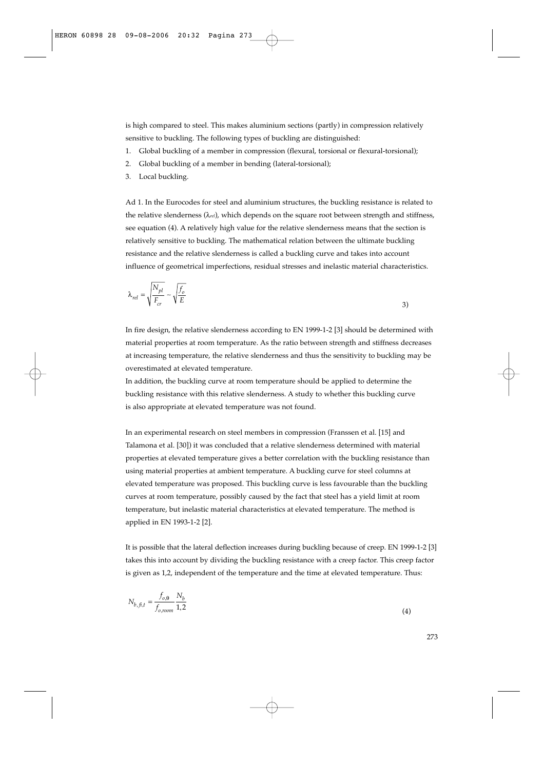is high compared to steel. This makes aluminium sections (partly) in compression relatively sensitive to buckling. The following types of buckling are distinguished:

- 1. Global buckling of a member in compression (flexural, torsional or flexural-torsional);
- Global buckling of a member in bending (lateral-torsional);
- 3. Local buckling.

Ad 1. In the Eurocodes for steel and aluminium structures, the buckling resistance is related to the relative slenderness (λ*rel*), which depends on the square root between strength and stiffness, see equation (4). A relatively high value for the relative slenderness means that the section is relatively sensitive to buckling. The mathematical relation between the ultimate buckling resistance and the relative slenderness is called a buckling curve and takes into account influence of geometrical imperfections, residual stresses and inelastic material characteristics.

$$
\lambda_{rel} = \sqrt{\frac{N_{pl}}{F_{cr}}} \sim \sqrt{\frac{f_o}{E}}
$$

In fire design, the relative slenderness according to EN 1999-1-2 [3] should be determined with material properties at room temperature. As the ratio between strength and stiffness decreases at increasing temperature, the relative slenderness and thus the sensitivity to buckling may be overestimated at elevated temperature.

In addition, the buckling curve at room temperature should be applied to determine the buckling resistance with this relative slenderness. A study to whether this buckling curve is also appropriate at elevated temperature was not found.

In an experimental research on steel members in compression (Franssen et al. [15] and Talamona et al. [30]) it was concluded that a relative slenderness determined with material properties at elevated temperature gives a better correlation with the buckling resistance than using material properties at ambient temperature. A buckling curve for steel columns at elevated temperature was proposed. This buckling curve is less favourable than the buckling curves at room temperature, possibly caused by the fact that steel has a yield limit at room temperature, but inelastic material characteristics at elevated temperature. The method is applied in EN 1993-1-2 [2].

It is possible that the lateral deflection increases during buckling because of creep. EN 1999-1-2 [3] takes this into account by dividing the buckling resistance with a creep factor. This creep factor is given as 1,2, independent of the temperature and the time at elevated temperature. Thus:

$$
N_{b, \bar{f}, t} = \frac{f_{o, \theta}}{f_{o, room}} \frac{N_b}{1, 2}
$$
\n(4)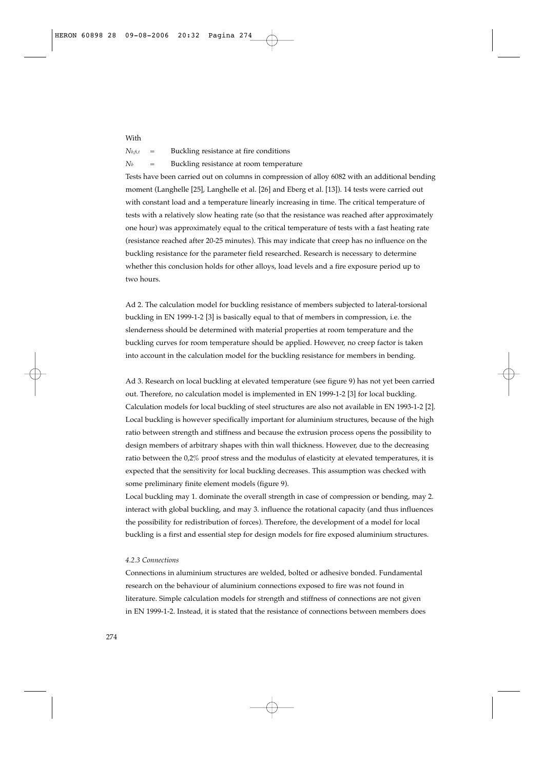$N_{b,\hat{n},t}$  = Buckling resistance at fire conditions  $N_b$  = Buckling resistance at room temperature

With

Tests have been carried out on columns in compression of alloy 6082 with an additional bending moment (Langhelle [25], Langhelle et al. [26] and Eberg et al. [13]). 14 tests were carried out with constant load and a temperature linearly increasing in time. The critical temperature of tests with a relatively slow heating rate (so that the resistance was reached after approximately one hour) was approximately equal to the critical temperature of tests with a fast heating rate (resistance reached after 20-25 minutes). This may indicate that creep has no influence on the buckling resistance for the parameter field researched. Research is necessary to determine whether this conclusion holds for other alloys, load levels and a fire exposure period up to two hours.

Ad 2. The calculation model for buckling resistance of members subjected to lateral-torsional buckling in EN 1999-1-2 [3] is basically equal to that of members in compression, i.e. the slenderness should be determined with material properties at room temperature and the buckling curves for room temperature should be applied. However, no creep factor is taken into account in the calculation model for the buckling resistance for members in bending.

Ad 3. Research on local buckling at elevated temperature (see figure 9) has not yet been carried out. Therefore, no calculation model is implemented in EN 1999-1-2 [3] for local buckling. Calculation models for local buckling of steel structures are also not available in EN 1993-1-2 [2]. Local buckling is however specifically important for aluminium structures, because of the high ratio between strength and stiffness and because the extrusion process opens the possibility to design members of arbitrary shapes with thin wall thickness. However, due to the decreasing ratio between the 0,2% proof stress and the modulus of elasticity at elevated temperatures, it is expected that the sensitivity for local buckling decreases. This assumption was checked with some preliminary finite element models (figure 9).

Local buckling may 1. dominate the overall strength in case of compression or bending, may 2. interact with global buckling, and may 3. influence the rotational capacity (and thus influences the possibility for redistribution of forces). Therefore, the development of a model for local buckling is a first and essential step for design models for fire exposed aluminium structures.

## *4.2.3 Connections*

Connections in aluminium structures are welded, bolted or adhesive bonded. Fundamental research on the behaviour of aluminium connections exposed to fire was not found in literature. Simple calculation models for strength and stiffness of connections are not given in EN 1999-1-2. Instead, it is stated that the resistance of connections between members does

274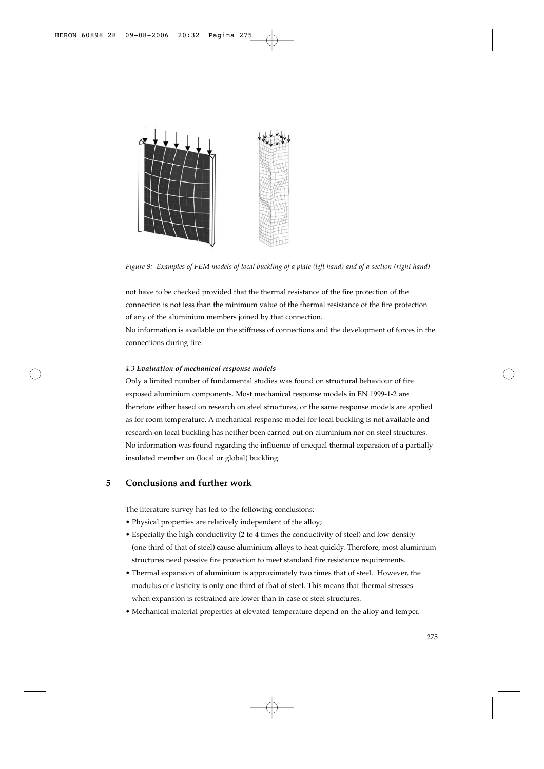

*Figure 9: Examples of FEM models of local buckling of a plate (left hand) and of a section (right hand)*

not have to be checked provided that the thermal resistance of the fire protection of the connection is not less than the minimum value of the thermal resistance of the fire protection of any of the aluminium members joined by that connection.

No information is available on the stiffness of connections and the development of forces in the connections during fire.

## *4.3 Evaluation of mechanical response models*

Only a limited number of fundamental studies was found on structural behaviour of fire exposed aluminium components. Most mechanical response models in EN 1999-1-2 are therefore either based on research on steel structures, or the same response models are applied as for room temperature. A mechanical response model for local buckling is not available and research on local buckling has neither been carried out on aluminium nor on steel structures. No information was found regarding the influence of unequal thermal expansion of a partially insulated member on (local or global) buckling.

# **5 Conclusions and further work**

The literature survey has led to the following conclusions:

- Physical properties are relatively independent of the alloy;
- Especially the high conductivity (2 to 4 times the conductivity of steel) and low density (one third of that of steel) cause aluminium alloys to heat quickly. Therefore, most aluminium structures need passive fire protection to meet standard fire resistance requirements.
- Thermal expansion of aluminium is approximately two times that of steel. However, the modulus of elasticity is only one third of that of steel. This means that thermal stresses when expansion is restrained are lower than in case of steel structures.
- Mechanical material properties at elevated temperature depend on the alloy and temper.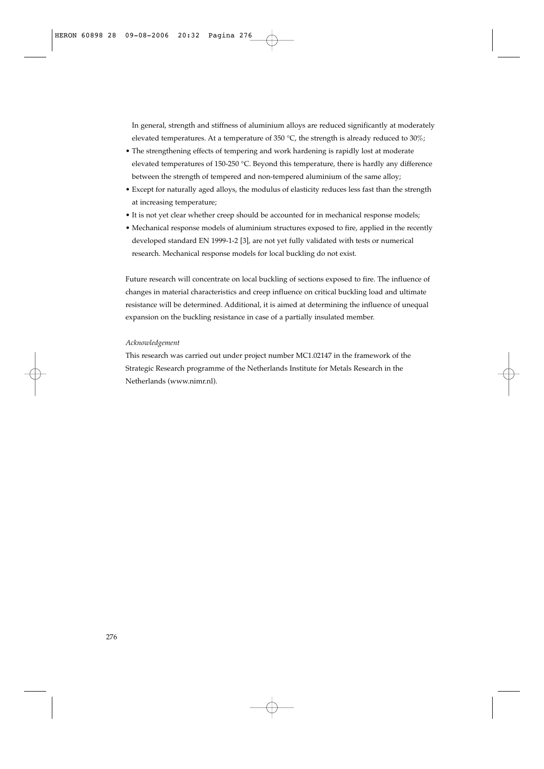In general, strength and stiffness of aluminium alloys are reduced significantly at moderately elevated temperatures. At a temperature of 350 °C, the strength is already reduced to 30%;

- The strengthening effects of tempering and work hardening is rapidly lost at moderate elevated temperatures of 150-250 °C. Beyond this temperature, there is hardly any difference between the strength of tempered and non-tempered aluminium of the same alloy;
- Except for naturally aged alloys, the modulus of elasticity reduces less fast than the strength at increasing temperature;
- It is not yet clear whether creep should be accounted for in mechanical response models;
- Mechanical response models of aluminium structures exposed to fire, applied in the recently developed standard EN 1999-1-2 [3], are not yet fully validated with tests or numerical research. Mechanical response models for local buckling do not exist.

Future research will concentrate on local buckling of sections exposed to fire. The influence of changes in material characteristics and creep influence on critical buckling load and ultimate resistance will be determined. Additional, it is aimed at determining the influence of unequal expansion on the buckling resistance in case of a partially insulated member.

## *Acknowledgement*

This research was carried out under project number MC1.02147 in the framework of the Strategic Research programme of the Netherlands Institute for Metals Research in the Netherlands (www.nimr.nl).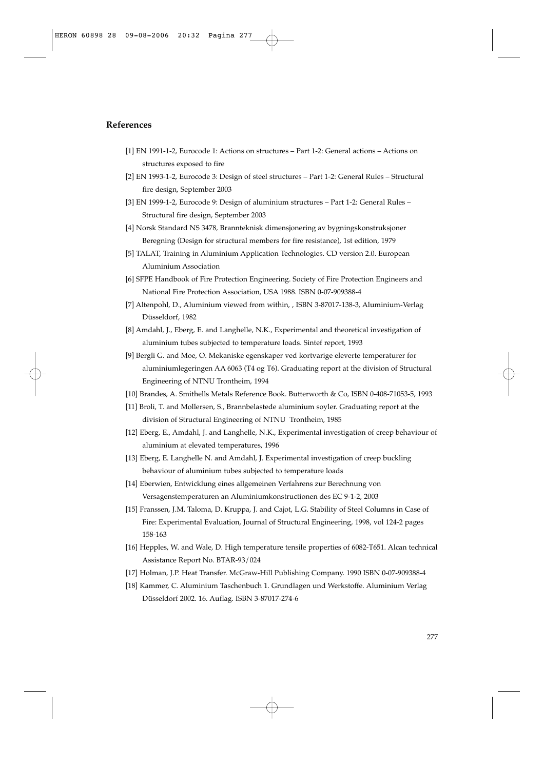# **References**

- [1] EN 1991-1-2, Eurocode 1: Actions on structures Part 1-2: General actions Actions on structures exposed to fire
- [2] EN 1993-1-2, Eurocode 3: Design of steel structures Part 1-2: General Rules Structural fire design, September 2003
- [3] EN 1999-1-2, Eurocode 9: Design of aluminium structures Part 1-2: General Rules Structural fire design, September 2003
- [4] Norsk Standard NS 3478, Brannteknisk dimensjonering av bygningskonstruksjoner Beregning (Design for structural members for fire resistance), 1st edition, 1979
- [5] TALAT, Training in Aluminium Application Technologies. CD version 2.0. European Aluminium Association
- [6] SFPE Handbook of Fire Protection Engineering. Society of Fire Protection Engineers and National Fire Protection Association, USA 1988. ISBN 0-07-909388-4
- [7] Altenpohl, D., Aluminium viewed from within, , ISBN 3-87017-138-3, Aluminium-Verlag Düsseldorf, 1982
- [8] Amdahl, J., Eberg, E. and Langhelle, N.K., Experimental and theoretical investigation of aluminium tubes subjected to temperature loads. Sintef report, 1993
- [9] Bergli G. and Moe, O. Mekaniske egenskaper ved kortvarige eleverte temperaturer for aluminiumlegeringen AA 6063 (T4 og T6). Graduating report at the division of Structural Engineering of NTNU Trontheim, 1994
- [10] Brandes, A. Smithells Metals Reference Book. Butterworth & Co, ISBN 0-408-71053-5, 1993
- [11] Broli, T. and Mollersen, S., Brannbelastede aluminium soyler. Graduating report at the division of Structural Engineering of NTNU Trontheim, 1985
- [12] Eberg, E., Amdahl, J. and Langhelle, N.K., Experimental investigation of creep behaviour of aluminium at elevated temperatures, 1996
- [13] Eberg, E. Langhelle N. and Amdahl, J. Experimental investigation of creep buckling behaviour of aluminium tubes subjected to temperature loads
- [14] Eberwien, Entwicklung eines allgemeinen Verfahrens zur Berechnung von Versagenstemperaturen an Aluminiumkonstructionen des EC 9-1-2, 2003
- [15] Franssen, J.M. Taloma, D. Kruppa, J. and Cajot, L.G. Stability of Steel Columns in Case of Fire: Experimental Evaluation, Journal of Structural Engineering, 1998, vol 124-2 pages 158-163
- [16] Hepples, W. and Wale, D. High temperature tensile properties of 6082-T651. Alcan technical Assistance Report No. BTAR-93/024
- [17] Holman, J.P. Heat Transfer. McGraw-Hill Publishing Company. 1990 ISBN 0-07-909388-4
- [18] Kammer, C. Aluminium Taschenbuch 1. Grundlagen und Werkstoffe. Aluminium Verlag Düsseldorf 2002. 16. Auflag. ISBN 3-87017-274-6